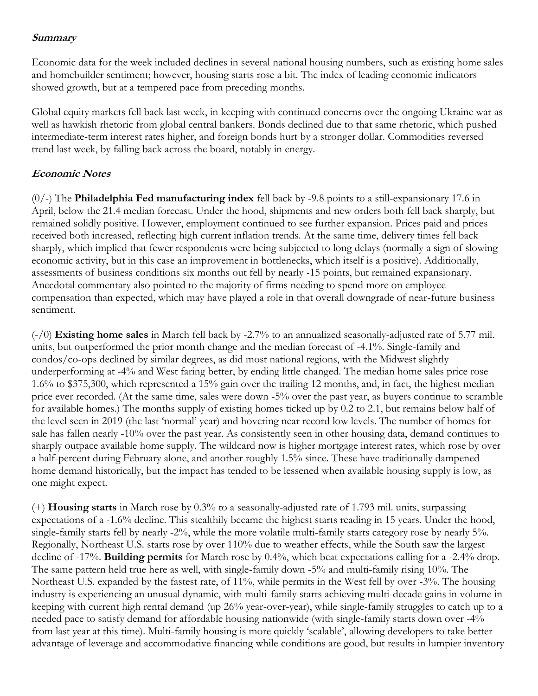## **Summary**

Economic data for the week included declines in several national housing numbers, such as existing home sales and homebuilder sentiment; however, housing starts rose a bit. The index of leading economic indicators showed growth, but at a tempered pace from preceding months.

Global equity markets fell back last week, in keeping with continued concerns over the ongoing Ukraine war as well as hawkish rhetoric from global central bankers. Bonds declined due to that same rhetoric, which pushed intermediate-term interest rates higher, and foreign bonds hurt by a stronger dollar. Commodities reversed trend last week, by falling back across the board, notably in energy.

## **Economic Notes**

(0/-) The **Philadelphia Fed manufacturing index** fell back by -9.8 points to a still-expansionary 17.6 in April, below the 21.4 median forecast. Under the hood, shipments and new orders both fell back sharply, but remained solidly positive. However, employment continued to see further expansion. Prices paid and prices received both increased, reflecting high current inflation trends. At the same time, delivery times fell back sharply, which implied that fewer respondents were being subjected to long delays (normally a sign of slowing economic activity, but in this case an improvement in bottlenecks, which itself is a positive). Additionally, assessments of business conditions six months out fell by nearly -15 points, but remained expansionary. Anecdotal commentary also pointed to the majority of firms needing to spend more on employee compensation than expected, which may have played a role in that overall downgrade of near-future business sentiment.

(-/0) **Existing home sales** in March fell back by -2.7% to an annualized seasonally-adjusted rate of 5.77 mil. units, but outperformed the prior month change and the median forecast of -4.1%. Single-family and condos/co-ops declined by similar degrees, as did most national regions, with the Midwest slightly underperforming at -4% and West faring better, by ending little changed. The median home sales price rose 1.6% to \$375,300, which represented a 15% gain over the trailing 12 months, and, in fact, the highest median price ever recorded. (At the same time, sales were down -5% over the past year, as buyers continue to scramble for available homes.) The months supply of existing homes ticked up by 0.2 to 2.1, but remains below half of the level seen in 2019 (the last 'normal' year) and hovering near record low levels. The number of homes for sale has fallen nearly -10% over the past year. As consistently seen in other housing data, demand continues to sharply outpace available home supply. The wildcard now is higher mortgage interest rates, which rose by over a half-percent during February alone, and another roughly 1.5% since. These have traditionally dampened home demand historically, but the impact has tended to be lessened when available housing supply is low, as one might expect.

(+) **Housing starts** in March rose by 0.3% to a seasonally-adjusted rate of 1.793 mil. units, surpassing expectations of a -1.6% decline. This stealthily became the highest starts reading in 15 years. Under the hood, single-family starts fell by nearly -2%, while the more volatile multi-family starts category rose by nearly 5%. Regionally, Northeast U.S. starts rose by over 110% due to weather effects, while the South saw the largest decline of -17%. **Building permits** for March rose by 0.4%, which beat expectations calling for a -2.4% drop. The same pattern held true here as well, with single-family down -5% and multi-family rising 10%. The Northeast U.S. expanded by the fastest rate, of 11%, while permits in the West fell by over -3%. The housing industry is experiencing an unusual dynamic, with multi-family starts achieving multi-decade gains in volume in keeping with current high rental demand (up 26% year-over-year), while single-family struggles to catch up to a needed pace to satisfy demand for affordable housing nationwide (with single-family starts down over -4% from last year at this time). Multi-family housing is more quickly 'scalable', allowing developers to take better advantage of leverage and accommodative financing while conditions are good, but results in lumpier inventory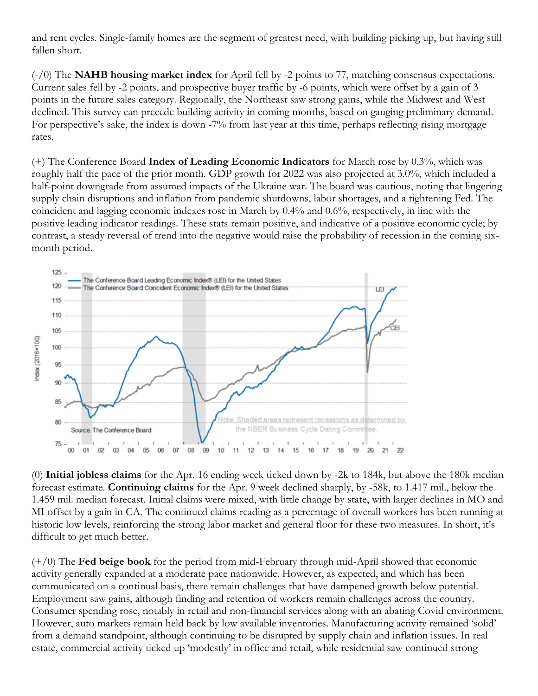and rent cycles. Single-family homes are the segment of greatest need, with building picking up, but having still fallen short.

(-/0) The **NAHB housing market index** for April fell by -2 points to 77, matching consensus expectations. Current sales fell by -2 points, and prospective buyer traffic by -6 points, which were offset by a gain of 3 points in the future sales category. Regionally, the Northeast saw strong gains, while the Midwest and West declined. This survey can precede building activity in coming months, based on gauging preliminary demand. For perspective's sake, the index is down -7% from last year at this time, perhaps reflecting rising mortgage rates.

(+) The Conference Board **Index of Leading Economic Indicators** for March rose by 0.3%, which was roughly half the pace of the prior month. GDP growth for 2022 was also projected at 3.0%, which included a half-point downgrade from assumed impacts of the Ukraine war. The board was cautious, noting that lingering supply chain disruptions and inflation from pandemic shutdowns, labor shortages, and a tightening Fed. The coincident and lagging economic indexes rose in March by 0.4% and 0.6%, respectively, in line with the positive leading indicator readings. These stats remain positive, and indicative of a positive economic cycle; by contrast, a steady reversal of trend into the negative would raise the probability of recession in the coming sixmonth period.



(0) **Initial jobless claims** for the Apr. 16 ending week ticked down by -2k to 184k, but above the 180k median forecast estimate. **Continuing claims** for the Apr. 9 week declined sharply, by -58k, to 1.417 mil., below the 1.459 mil. median forecast. Initial claims were mixed, with little change by state, with larger declines in MO and MI offset by a gain in CA. The continued claims reading as a percentage of overall workers has been running at historic low levels, reinforcing the strong labor market and general floor for these two measures. In short, it's difficult to get much better.

(+/0) The **Fed beige book** for the period from mid-February through mid-April showed that economic activity generally expanded at a moderate pace nationwide. However, as expected, and which has been communicated on a continual basis, there remain challenges that have dampened growth below potential. Employment saw gains, although finding and retention of workers remain challenges across the country. Consumer spending rose, notably in retail and non-financial services along with an abating Covid environment. However, auto markets remain held back by low available inventories. Manufacturing activity remained 'solid' from a demand standpoint, although continuing to be disrupted by supply chain and inflation issues. In real estate, commercial activity ticked up 'modestly' in office and retail, while residential saw continued strong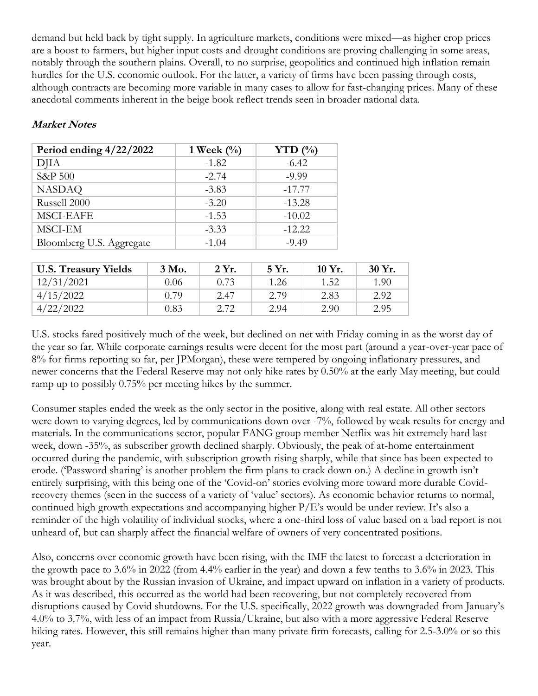demand but held back by tight supply. In agriculture markets, conditions were mixed—as higher crop prices are a boost to farmers, but higher input costs and drought conditions are proving challenging in some areas, notably through the southern plains. Overall, to no surprise, geopolitics and continued high inflation remain hurdles for the U.S. economic outlook. For the latter, a variety of firms have been passing through costs, although contracts are becoming more variable in many cases to allow for fast-changing prices. Many of these anecdotal comments inherent in the beige book reflect trends seen in broader national data.

## **Market Notes**

| Period ending $4/22/2022$ | 1 Week $(\%)$ | YTD $(\% )$ |  |
|---------------------------|---------------|-------------|--|
| DJIA                      | $-1.82$       | $-6.42$     |  |
| S&P 500                   | $-2.74$       | $-9.99$     |  |
| <b>NASDAQ</b>             | $-3.83$       | $-17.77$    |  |
| Russell 2000              | $-3.20$       | $-13.28$    |  |
| <b>MSCI-EAFE</b>          | $-1.53$       | $-10.02$    |  |
| MSCI-EM                   | $-3.33$       | $-12.22$    |  |
| Bloomberg U.S. Aggregate  | $-1.04$       | $-9.49$     |  |

| <b>U.S. Treasury Yields</b> | 3 Mo. | 2 Yr. | 5 Yr. | $10 Yr$ . | 30 Yr. |
|-----------------------------|-------|-------|-------|-----------|--------|
| 12/31/2021                  | 0.06  | 0.73  | 1.26  | 1.52      | 1.90   |
| 4/15/2022                   | 0.79  | 2.47  | 2.79  | 2.83      | 2.92   |
| 4/22/2022                   | 0.83  | 2.72  | 2.94  | 2.90      | 2.95   |

U.S. stocks fared positively much of the week, but declined on net with Friday coming in as the worst day of the year so far. While corporate earnings results were decent for the most part (around a year-over-year pace of 8% for firms reporting so far, per JPMorgan), these were tempered by ongoing inflationary pressures, and newer concerns that the Federal Reserve may not only hike rates by 0.50% at the early May meeting, but could ramp up to possibly 0.75% per meeting hikes by the summer.

Consumer staples ended the week as the only sector in the positive, along with real estate. All other sectors were down to varying degrees, led by communications down over -7%, followed by weak results for energy and materials. In the communications sector, popular FANG group member Netflix was hit extremely hard last week, down -35%, as subscriber growth declined sharply. Obviously, the peak of at-home entertainment occurred during the pandemic, with subscription growth rising sharply, while that since has been expected to erode. ('Password sharing' is another problem the firm plans to crack down on.) A decline in growth isn't entirely surprising, with this being one of the 'Covid-on' stories evolving more toward more durable Covidrecovery themes (seen in the success of a variety of 'value' sectors). As economic behavior returns to normal, continued high growth expectations and accompanying higher P/E's would be under review. It's also a reminder of the high volatility of individual stocks, where a one-third loss of value based on a bad report is not unheard of, but can sharply affect the financial welfare of owners of very concentrated positions.

Also, concerns over economic growth have been rising, with the IMF the latest to forecast a deterioration in the growth pace to 3.6% in 2022 (from 4.4% earlier in the year) and down a few tenths to 3.6% in 2023. This was brought about by the Russian invasion of Ukraine, and impact upward on inflation in a variety of products. As it was described, this occurred as the world had been recovering, but not completely recovered from disruptions caused by Covid shutdowns. For the U.S. specifically, 2022 growth was downgraded from January's 4.0% to 3.7%, with less of an impact from Russia/Ukraine, but also with a more aggressive Federal Reserve hiking rates. However, this still remains higher than many private firm forecasts, calling for 2.5-3.0% or so this year.